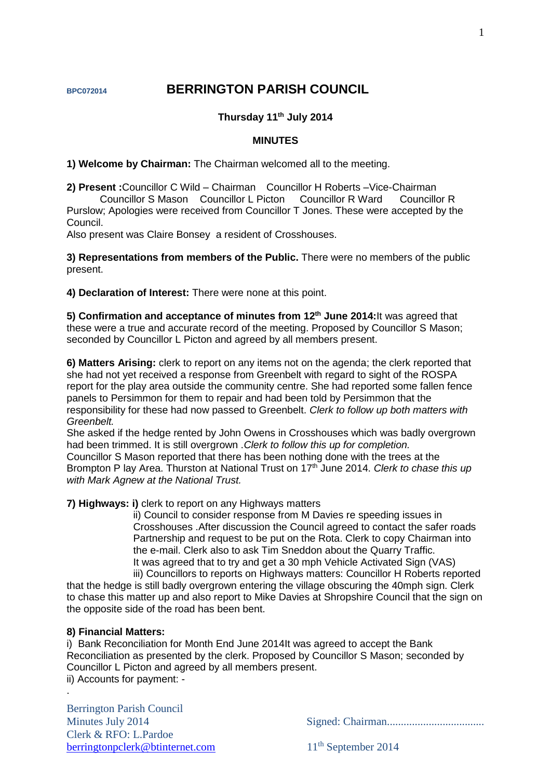# **BPC072014 BERRINGTON PARISH COUNCIL**

# **Thursday 11 th July 2014**

#### **MINUTES**

**1) Welcome by Chairman:** The Chairman welcomed all to the meeting.

**2) Present :**Councillor C Wild – Chairman Councillor H Roberts –Vice-Chairman Councillor S Mason Councillor L Picton Councillor R Ward Councillor R Purslow; Apologies were received from Councillor T Jones. These were accepted by the Council.

Also present was Claire Bonsey a resident of Crosshouses.

**3) Representations from members of the Public.** There were no members of the public present.

**4) Declaration of Interest:** There were none at this point.

**5) Confirmation and acceptance of minutes from 12th June 2014:**It was agreed that these were a true and accurate record of the meeting. Proposed by Councillor S Mason; seconded by Councillor L Picton and agreed by all members present.

**6) Matters Arising:** clerk to report on any items not on the agenda; the clerk reported that she had not yet received a response from Greenbelt with regard to sight of the ROSPA report for the play area outside the community centre. She had reported some fallen fence panels to Persimmon for them to repair and had been told by Persimmon that the responsibility for these had now passed to Greenbelt. *Clerk to follow up both matters with Greenbelt.*

She asked if the hedge rented by John Owens in Crosshouses which was badly overgrown had been trimmed. It is still overgrown .*Clerk to follow this up for completion.* Councillor S Mason reported that there has been nothing done with the trees at the Brompton P lay Area. Thurston at National Trust on 17th June 2014. *Clerk to chase this up with Mark Agnew at the National Trust.*

**7) Highways: i)** clerk to report on any Highways matters

ii) Council to consider response from M Davies re speeding issues in Crosshouses .After discussion the Council agreed to contact the safer roads Partnership and request to be put on the Rota. Clerk to copy Chairman into the e-mail. Clerk also to ask Tim Sneddon about the Quarry Traffic. It was agreed that to try and get a 30 mph Vehicle Activated Sign (VAS)

iii) Councillors to reports on Highways matters: Councillor H Roberts reported that the hedge is still badly overgrown entering the village obscuring the 40mph sign. Clerk to chase this matter up and also report to Mike Davies at Shropshire Council that the sign on the opposite side of the road has been bent.

#### **8) Financial Matters:**

.

i) Bank Reconciliation for Month End June 2014It was agreed to accept the Bank Reconciliation as presented by the clerk. Proposed by Councillor S Mason; seconded by Councillor L Picton and agreed by all members present. ii) Accounts for payment: -

Berrington Parish Council Clerk & RFO: L.Pardoe [berringtonpclerk@btinternet.com](mailto:berringtonpclerk@btinternet.com) 11<sup>th</sup> September 2014

Minutes July 2014 Signed: Chairman...................................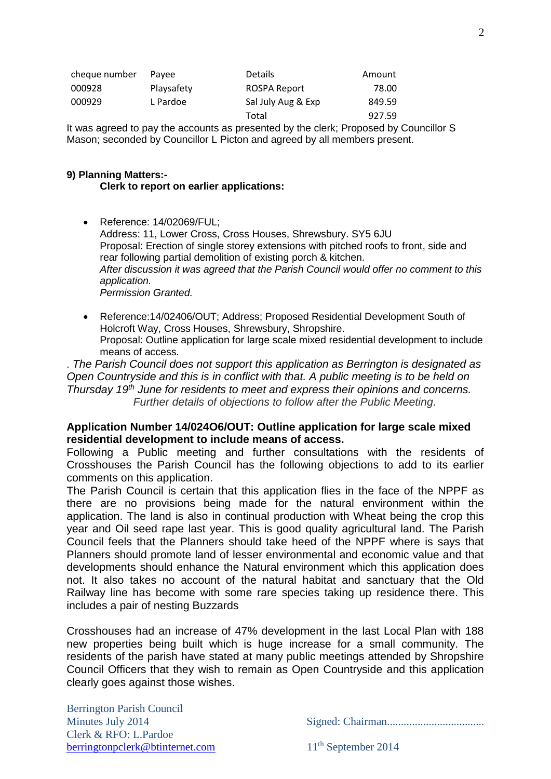| cheque number | Pavee      | <b>Details</b>     | Amount |
|---------------|------------|--------------------|--------|
| 000928        | Playsafety | ROSPA Report       | 78.00  |
| 000929        | L Pardoe   | Sal July Aug & Exp | 849.59 |
|               |            | Total              | 927.59 |

It was agreed to pay the accounts as presented by the clerk; Proposed by Councillor S Mason; seconded by Councillor L Picton and agreed by all members present.

# **9) Planning Matters:-**

**Clerk to report on earlier applications:**

- Reference: 14/02069/FUL; Address: 11, Lower Cross, Cross Houses, Shrewsbury. SY5 6JU Proposal: Erection of single storey extensions with pitched roofs to front, side and rear following partial demolition of existing porch & kitchen. *After discussion it was agreed that the Parish Council would offer no comment to this application. Permission Granted.*
- Reference:14/02406/OUT; Address; Proposed Residential Development South of Holcroft Way, Cross Houses, Shrewsbury, Shropshire. Proposal: Outline application for large scale mixed residential development to include means of access.

. *The Parish Council does not support this application as Berrington is designated as Open Countryside and this is in conflict with that. A public meeting is to be held on Thursday 19th June for residents to meet and express their opinions and concerns. Further details of objections to follow after the Public Meeting.*

# **Application Number 14/024O6/OUT: Outline application for large scale mixed residential development to include means of access.**

Following a Public meeting and further consultations with the residents of Crosshouses the Parish Council has the following objections to add to its earlier comments on this application.

The Parish Council is certain that this application flies in the face of the NPPF as there are no provisions being made for the natural environment within the application. The land is also in continual production with Wheat being the crop this year and Oil seed rape last year. This is good quality agricultural land. The Parish Council feels that the Planners should take heed of the NPPF where is says that Planners should promote land of lesser environmental and economic value and that developments should enhance the Natural environment which this application does not. It also takes no account of the natural habitat and sanctuary that the Old Railway line has become with some rare species taking up residence there. This includes a pair of nesting Buzzards

Crosshouses had an increase of 47% development in the last Local Plan with 188 new properties being built which is huge increase for a small community. The residents of the parish have stated at many public meetings attended by Shropshire Council Officers that they wish to remain as Open Countryside and this application clearly goes against those wishes.

Berrington Parish Council Clerk & RFO: L.Pardoe [berringtonpclerk@btinternet.com](mailto:berringtonpclerk@btinternet.com) 11<sup>th</sup> September 2014

Minutes July 2014 Signed: Chairman...................................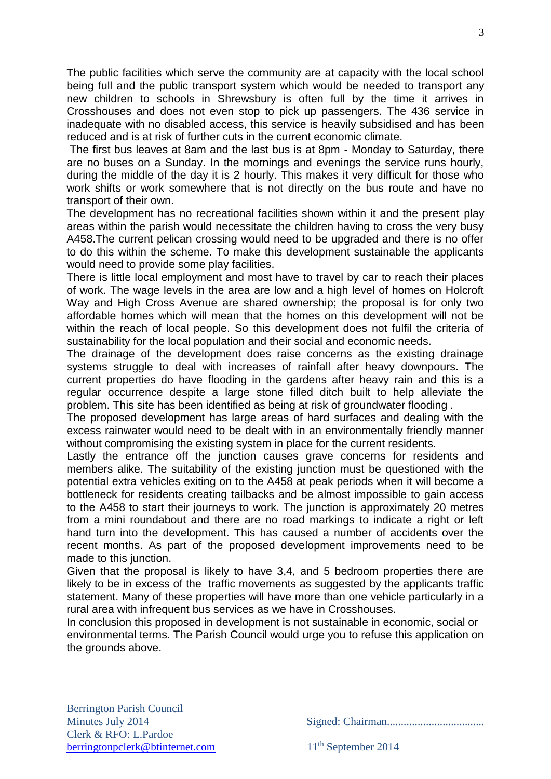The public facilities which serve the community are at capacity with the local school being full and the public transport system which would be needed to transport any new children to schools in Shrewsbury is often full by the time it arrives in Crosshouses and does not even stop to pick up passengers. The 436 service in inadequate with no disabled access, this service is heavily subsidised and has been reduced and is at risk of further cuts in the current economic climate.

The first bus leaves at 8am and the last bus is at 8pm - Monday to Saturday, there are no buses on a Sunday. In the mornings and evenings the service runs hourly, during the middle of the day it is 2 hourly. This makes it very difficult for those who work shifts or work somewhere that is not directly on the bus route and have no transport of their own.

The development has no recreational facilities shown within it and the present play areas within the parish would necessitate the children having to cross the very busy A458.The current pelican crossing would need to be upgraded and there is no offer to do this within the scheme. To make this development sustainable the applicants would need to provide some play facilities.

There is little local employment and most have to travel by car to reach their places of work. The wage levels in the area are low and a high level of homes on Holcroft Way and High Cross Avenue are shared ownership; the proposal is for only two affordable homes which will mean that the homes on this development will not be within the reach of local people. So this development does not fulfil the criteria of sustainability for the local population and their social and economic needs.

The drainage of the development does raise concerns as the existing drainage systems struggle to deal with increases of rainfall after heavy downpours. The current properties do have flooding in the gardens after heavy rain and this is a regular occurrence despite a large stone filled ditch built to help alleviate the problem. This site has been identified as being at risk of groundwater flooding .

The proposed development has large areas of hard surfaces and dealing with the excess rainwater would need to be dealt with in an environmentally friendly manner without compromising the existing system in place for the current residents.

Lastly the entrance off the junction causes grave concerns for residents and members alike. The suitability of the existing junction must be questioned with the potential extra vehicles exiting on to the A458 at peak periods when it will become a bottleneck for residents creating tailbacks and be almost impossible to gain access to the A458 to start their journeys to work. The junction is approximately 20 metres from a mini roundabout and there are no road markings to indicate a right or left hand turn into the development. This has caused a number of accidents over the recent months. As part of the proposed development improvements need to be made to this junction.

Given that the proposal is likely to have 3,4, and 5 bedroom properties there are likely to be in excess of the traffic movements as suggested by the applicants traffic statement. Many of these properties will have more than one vehicle particularly in a rural area with infrequent bus services as we have in Crosshouses.

In conclusion this proposed in development is not sustainable in economic, social or environmental terms. The Parish Council would urge you to refuse this application on the grounds above.

Minutes July 2014 Signed: Chairman...................................